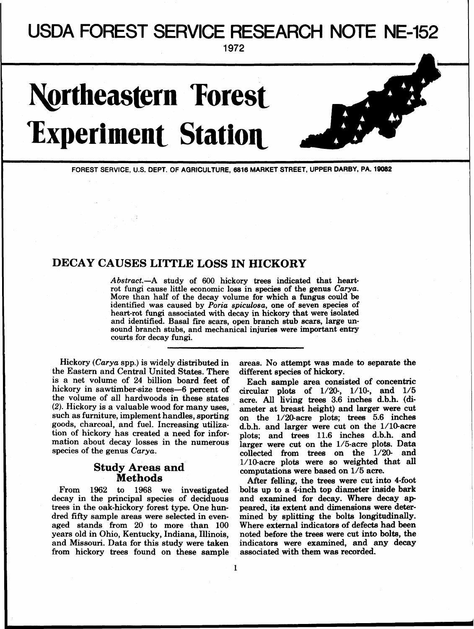## **USDA FOREST SERVICE RESEARCH** NOTE NE-152

1972

# **Northeastern Forest Experiment Station**

FOREST SERVICE, U.S. DEPT. OF AGRICULTURE, 6816 MARKET STREET, UPPER **DARBY,** PA. 19082

### **DECAY CAUSES LITTLE LOSS IN HICKORY**

Abstract.-A study of 600 hickory trees indicated that heartrot fungi cause little economic loss in species of the genus Carya. More than half of the decay volume for which a fungus could be identified was caused by Poria spiculosa, one of seven species of heart-rot fungi associated with decay in hickory that were isolated and identified. Basal fire scars, open branch stub scars, large unsound branch stubs, and mechanical injuries were important entry courts for decay fungi.

the Eastern and Central United States. There is a net volume of 24 billion board feet of Each sample area consisted of concentric<br>hickory in sawtimber-size trees—6 percent of circular plots of  $1/20-1/10-$  and  $1/5$ hickory in sawtimber-size trees-6 percent of circular plots of  $1/20$ -,  $1/10$ -, and  $1/5$ <br>the volume of all hardwoods in these states scree All living trees 3.6 inches d b b. (dithe volume of all hardwoods in these states acre. All living trees 3.6 inches d.b.h. (di-<br>(2). Hickory is a valuable wood for many uses, ameter at breast height) and larger were cut<br>such as furniture, implement handles, s such as furniture, implement handles, sporting on the  $1/20$ -acre plots; trees 5.6 inches goods, charcoal, and fuel. Increasing utiliza- d b h and larger were cut on the  $1/10$ -acre goods, charcoal, and fuel. Increasing utiliza- d.b.h. and larger were cut on the 1/10-acre<br>tion of hickory has created a need for infor- plots: and trees 11.6 inches d.b.h. and tion of hickory has created a need for infor-<br>mation about decay losses in the numerous larger were cut on the 1/5-acre plots. Data

decay in the principal species of deciduous and examined for decay. Where decay aptrees in the oak-hickory forest type. One hun-<br>peared, its extent and dimensions were detertrees in the oak-hickory forest type. One hun-<br>dred fifty sample areas were selected in evenaged stands from 20 to more than 100 Where external indicators of defects had **been**  and Missouri. Data for this study were taken indicators were examined, and any decay<br>from hickory trees found on these sample associated with them was recorded. from hickory trees found on these sample

Hickory (Carya spp.) is widely distributed in areas. No attempt was made to separate the le Eastern and Central United States. There different species of hickory.

mation about decay losses in the numerous larger were cut on the 1/5-acre plots. Data species of the genus *Carya*. <br>collected from trees on the 1/20- and **Study Areas and** <br>Methods **a** *l*/lo-acre plots were so weighted that all<br>Methods **After folling** the trees were out into 4-foot

**METHOGS** After felling, the trees were cut into 4-foot 1962 to 1968 we investigated bolts up to a 4-inch top diameter inside bark From 1962 to 1968 we investigated bolts up to a 4-inch top diameter inside bark<br>ecay in the principal species of deciduous and examined for decay. Where decay apmined by splitting the bolts longitudinally. noted before the trees were cut into bolts, the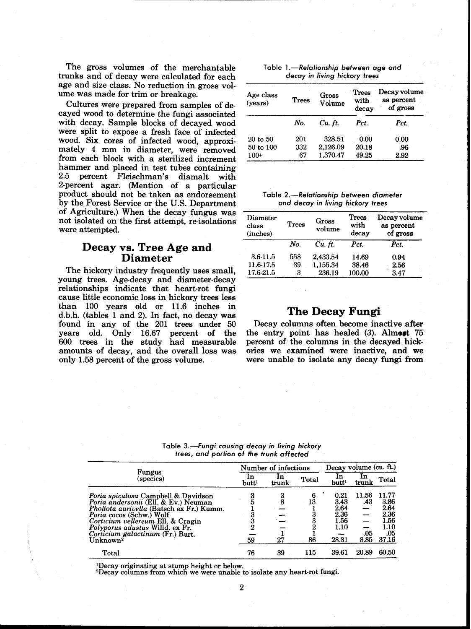The gross volumes of the merchantable trunks and of decay were calculated for each age and size class. No reduction in gross volume was made for trim or breakage.

Cultures were prepared from samples of de cayed wood to determine the fungi associated with decay. Sample blocks of decayed woad were split to expose a fresh face of infected wood. Six cores of infected wood, approximately 4 mm in diameter, were removed from each block with a sterilized increment hammer and placed in test tubes containing<br>2.5 percent. Fleischman's diamalt with percent Fleischman's diamalt with 2-percent agar. (Mention of a particular product should not be taken as endorsement by the Forest Service or the U.S. Department of Agriculture.) When the decay fungus was not isolated on the first attempt, re-isolations were attempted.

#### **Decay vs. Tree Age and Diameter**

The hickory industry frequently uses small, young trees. Age-decay and diameter-decay relationships indicate that heart-rot fungi cause little economic loss in hickory trees less than 100 years old or 11.6 inches in d.b.h. (tables 1 and 2). In fact, no decay was found in any of the 201 trees under 50 years old. Only 16.67 percent of the 600 trees in the study had measurable amounts of decay, and the overall loss was only 1.58 percent of the gross volume.

| Table 1.—Relationship between age and |
|---------------------------------------|
| decay in living hickory trees         |

| Age class<br>( <b>years</b> ) | <b>Trees</b> | Gross<br>Volume | <b>Trees</b><br>with<br>decay | Decay volume<br>as percent<br>of gross |  |  |
|-------------------------------|--------------|-----------------|-------------------------------|----------------------------------------|--|--|
|                               | No.          | $Cu.$ ft.       | Pct.                          | Pct.                                   |  |  |
| 20 to 50                      | 201          | 328.51          | 0.00                          | 0.00                                   |  |  |
| 50 to 100                     | 332          | 2,126.09        | 20.18                         | .96                                    |  |  |
| $100+$                        | 67           | 1.370.47        | 49.25                         | 2.92                                   |  |  |

**Table 2.-Relationship between diameter and decay in living hickory trees** 

| Diameter<br>class<br>(inches) | Trees | Gross<br>volume | <b>Trees</b><br>with<br>decay | Decay volume<br>as percent<br>of gross |  |  |
|-------------------------------|-------|-----------------|-------------------------------|----------------------------------------|--|--|
|                               | No.   | $Cu.$ ft.       | Pct.                          | Pct.                                   |  |  |
| 3.6-11.5                      | 558   | 2,433.54        | 14.69                         | 0.94                                   |  |  |
| 11.6-17.5                     | 39    | 1.155.34        | 38.46                         | 2.56                                   |  |  |
| 17.6-21.5                     | 3     | 236.19          | 100.00                        | 3.47                                   |  |  |

#### **The Decay Fungi**

Decay columns often become inactive after the entry point has healed (3). **Almort** 75 percent of the columns in the decayed hickories we examined were inactive, and we were unable to isolate any decay **fungi** from

**Table 3.-Fungi causing decay in living hickory trees, and portion of the trunk affected** 

|                                                                                                           | Number of infections    |             |         | Decay volume (cu. ft.) |              |                      |
|-----------------------------------------------------------------------------------------------------------|-------------------------|-------------|---------|------------------------|--------------|----------------------|
| Fungus<br>(species)                                                                                       | 1n<br>butt <sup>1</sup> | 1n<br>trunk | Total   | 1n<br>butt1            | 1n<br>trunk  | Total                |
| Poria spiculosa Campbell & Davidson<br>Poria andersonii (Ell. & Ev.) Neuman                               |                         | 3<br>8      | 6<br>13 | 0.21<br>3.43           | 11.56<br>.43 | 11.77<br>3.86        |
| Pholiota aurivella (Batsch ex Fr.) Kumm.<br>Poria cocos (Schw.) Wolf<br>Corticium vellereum Ell. & Cragin |                         |             |         | 2.64<br>2.36<br>1.56   | —            | 2.64<br>2.36<br>1.56 |
| Polyporus adustus Willd. ex Fr.<br>Corticium galactinum (Fr.) Burt.                                       |                         |             | 2       | 1.10                   | .05          | 1.10<br>.05          |
| Unknown <sup>2</sup>                                                                                      | 59                      | 27          | 86      | 28.31                  | 8.85         | 37.16                |
| Total                                                                                                     | 76                      | 39          | 115     | 39.61                  | 20.89        | 60.50                |

<sup>1</sup>Decay originating at stump height or below.

<sup>2</sup>Decay columns from which we were unable to isolate any heart-rot fungi.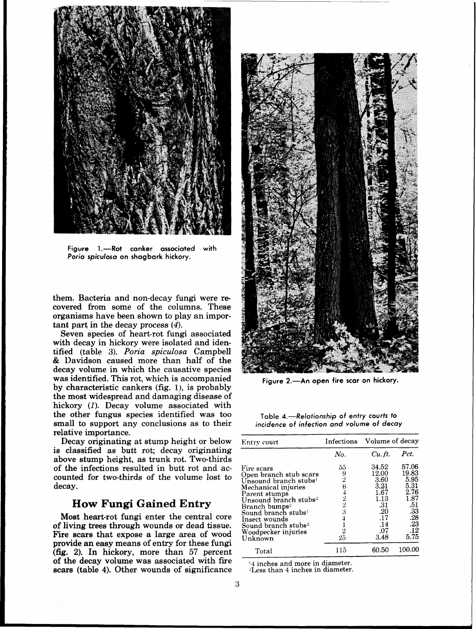

Figure 1.-Rot canker associated with **Poria spiculosa on shagbark hickory.** 

them. Bacteria and non-decay fungi were recovered from some of the columns. These organisms have been shown to play an important part, in the decay process (4).

Seven species of heart-rot fungi associated with decay in hickory were isolated and identified (table 3). *Poria spiculosa* Campbell & Davidson caused more than half of the decay volume in which the causative species was identified. This rot, which is accompanied by characteristic cankers (fig. I), is probably the most widespread and damaging disease of hickory (1). Decay volume associated with the other fungus species identified was too small to support any conclusions as to their relative importance.

Decay originating at stump height or below is classified as butt rot; decay originating above stump height, as trunk rot. Two-thirds of the infections resulted in butt rot and accounted for two-thirds of the volume lost to decay.

#### **How Fungi Gained Entry**

Most heart-rot fungi enter the central core of living trees through wounds or dead tissue. Fire scars that expose a large area of wood provide an easy means of entry for these fungi **(fig.** 2). In hickory, more than 57 percent of the decay volume was associated with fire scars (table 4). Other wounds of significance



Figure 2.-An open fire scar on hickory.

**Table 4.-Relationship of entry courts to incidence of infection and volume of decay** 

| Entry court                                                                                                                                                                                                                                                                                                |                                                     | Infections Volume of decay                                                                |                                                                                           |  |
|------------------------------------------------------------------------------------------------------------------------------------------------------------------------------------------------------------------------------------------------------------------------------------------------------------|-----------------------------------------------------|-------------------------------------------------------------------------------------------|-------------------------------------------------------------------------------------------|--|
|                                                                                                                                                                                                                                                                                                            | No.                                                 | Cu. ft.                                                                                   | Pct.                                                                                      |  |
| Fire scars<br>Open branch stub scars<br>Unsound branch stubs <sup>1</sup><br>Mechanical injuries<br>Parent stumps<br>Unsound branch stubs <sup>2</sup><br>Branch bumps <del>'</del><br>Sound branch stubs $^{\rm l}$<br>Insect wounds<br>Sound branch stubs <sup>2</sup><br>Woodpecker injuries<br>Unknown | 55<br>$\frac{9}{2}$<br>64223<br>4<br>$\frac{2}{25}$ | 34.52<br>12.00<br>3.60<br>3.21<br>1.67<br>1.13<br>.31<br>.20<br>.17<br>.14<br>.07<br>3.48 | 57.06<br>19.83<br>5.95<br>5.31<br>2.76<br>1.87<br>-51<br>.33<br>.28<br>.23<br>.12<br>5.75 |  |
| Total                                                                                                                                                                                                                                                                                                      | 115                                                 | 60.50                                                                                     | 100.00                                                                                    |  |

**:4** inches and more in diameter.

-Less than 4 inches in diameter.